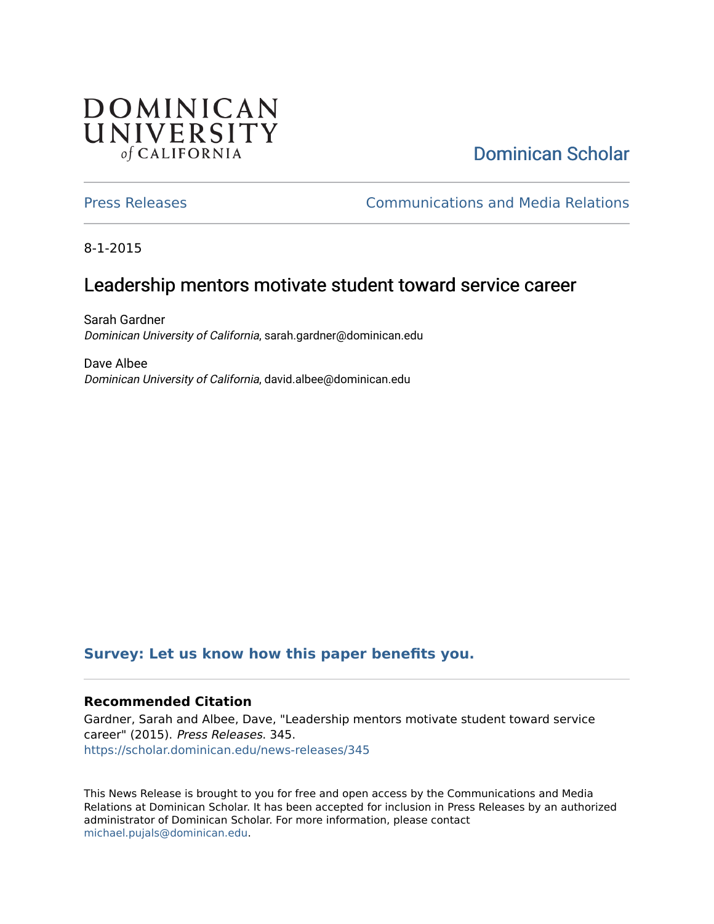## **DOMINICAN** UNIVERSITY of CALIFORNIA

# [Dominican Scholar](https://scholar.dominican.edu/)

[Press Releases](https://scholar.dominican.edu/news-releases) [Communications and Media Relations](https://scholar.dominican.edu/communications-media) 

8-1-2015

### Leadership mentors motivate student toward service career

Sarah Gardner Dominican University of California, sarah.gardner@dominican.edu

Dave Albee Dominican University of California, david.albee@dominican.edu

#### **[Survey: Let us know how this paper benefits you.](https://dominican.libwizard.com/dominican-scholar-feedback)**

#### **Recommended Citation**

Gardner, Sarah and Albee, Dave, "Leadership mentors motivate student toward service career" (2015). Press Releases. 345. [https://scholar.dominican.edu/news-releases/345](https://scholar.dominican.edu/news-releases/345?utm_source=scholar.dominican.edu%2Fnews-releases%2F345&utm_medium=PDF&utm_campaign=PDFCoverPages)

This News Release is brought to you for free and open access by the Communications and Media Relations at Dominican Scholar. It has been accepted for inclusion in Press Releases by an authorized administrator of Dominican Scholar. For more information, please contact [michael.pujals@dominican.edu.](mailto:michael.pujals@dominican.edu)